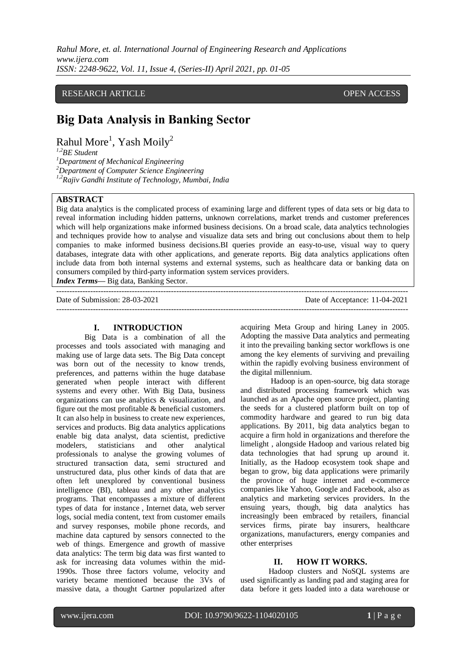*Rahul More, et. al. International Journal of Engineering Research and Applications www.ijera.com ISSN: 2248-9622, Vol. 11, Issue 4, (Series-II) April 2021, pp. 01-05*

### RESEARCH ARTICLE **CONSERVERS** OPEN ACCESS

# **Big Data Analysis in Banking Sector**

Rahul More<sup>1</sup>, Yash Moily<sup>2</sup>

*1,2BE Student <sup>1</sup>Department of Mechanical Engineering*

*<sup>2</sup>Department of Computer Science Engineering*

*1,2Rajiv Gandhi Institute of Technology, Mumbai, India*

#### **ABSTRACT**

Big data analytics is the complicated process of examining large and different types of data sets or big data to reveal information including hidden patterns, unknown correlations, market trends and customer preferences which will help organizations make informed business decisions. On a broad scale, data analytics technologies and techniques provide how to analyse and visualize data sets and bring out conclusions about them to help companies to make informed business decisions.BI queries provide an easy-to-use, visual way to query databases, integrate data with other applications, and generate reports. Big data analytics applications often include data from both internal systems and external systems, such as healthcare data or banking data on consumers compiled by third-party information system services providers.

*Index Terms—* Big data, Banking Sector. ---------------------------------------------------------------------------------------------------------------------------------------

Date of Submission: 28-03-2021 Date of Acceptance: 11-04-2021 ---------------------------------------------------------------------------------------------------------------------------------------

#### **I. INTRODUCTION**

Big Data is a combination of all the processes and tools associated with managing and making use of large data sets. The Big Data concept was born out of the necessity to know trends, preferences, and patterns within the huge database generated when people interact with different systems and every other. With Big Data, business organizations can use analytics & visualization, and figure out the most profitable & beneficial customers. It can also help in business to create new experiences, services and products. Big data analytics applications enable big data analyst, data scientist, predictive modelers, statisticians and other analytical professionals to analyse the growing volumes of structured transaction data, semi structured and unstructured data, plus other kinds of data that are often left unexplored by conventional business intelligence (BI), tableau and any other analytics programs. That encompasses a mixture of different types of data for instance , Internet data, web server logs, social media content, text from customer emails and survey responses, mobile phone records, and machine data captured by sensors connected to the web of things. Emergence and growth of massive data analytics: The term big data was first wanted to ask for increasing data volumes within the mid-1990s. Those three factors volume, velocity and variety became mentioned because the 3Vs of massive data, a thought Gartner popularized after

acquiring Meta Group and hiring Laney in 2005. Adopting the massive Data analytics and permeating it into the prevailing banking sector workflows is one among the key elements of surviving and prevailing within the rapidly evolving business environment of the digital millennium.

Hadoop is an open-source, big data storage and distributed processing framework which was launched as an Apache open source project, planting the seeds for a clustered platform built on top of commodity hardware and geared to run big data applications. By 2011, big data analytics began to acquire a firm hold in organizations and therefore the limelight , alongside Hadoop and various related big data technologies that had sprung up around it. Initially, as the Hadoop ecosystem took shape and began to grow, big data applications were primarily the province of huge internet and e-commerce companies like Yahoo, Google and Facebook, also as analytics and marketing services providers. In the ensuing years, though, big data analytics has increasingly been embraced by retailers, financial services firms, pirate bay insurers, healthcare organizations, manufacturers, energy companies and other enterprises

# **II. HOW IT WORKS.**

Hadoop clusters and NoSQL systems are used significantly as landing pad and staging area for data before it gets loaded into a data warehouse or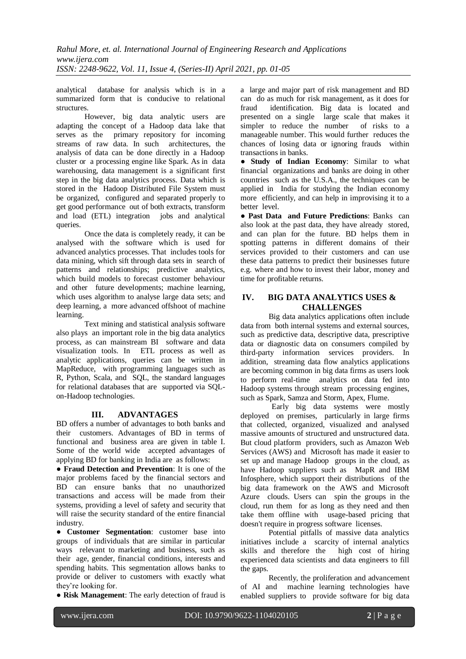analytical database for analysis which is in a summarized form that is conducive to relational structures.

However, big data analytic users are adapting the concept of a Hadoop data lake that serves as the primary repository for incoming streams of raw data. In such architectures, the analysis of data can be done directly in a Hadoop cluster or a processing engine like Spark. As in data warehousing, data management is a significant first step in the big data analytics process. Data which is stored in the Hadoop Distributed File System must be organized, configured and separated properly to get good performance out of both extracts, transform and load (ETL) integration jobs and analytical queries.

Once the data is completely ready, it can be analysed with the software which is used for advanced analytics processes. That includes tools for data mining, which sift through data sets in search of patterns and relationships; predictive analytics, which build models to forecast customer behaviour and other future developments; machine learning, which uses algorithm to analyse large data sets; and deep learning, a more advanced offshoot of machine learning.

Text mining and statistical analysis software also plays an important role in the big data analytics process, as can mainstream BI software and data visualization tools. In ETL process as well as analytic applications, queries can be written in MapReduce, with programming languages such as R, Python, Scala, and SQL, the standard languages for relational databases that are supported via SQLon-Hadoop technologies.

# **III. ADVANTAGES**

BD offers a number of advantages to both banks and their customers. Advantages of BD in terms of functional and business area are given in table I. Some of the world wide accepted advantages of applying BD for banking in India are as follows:

● **Fraud Detection and Prevention**: It is one of the major problems faced by the financial sectors and BD can ensure banks that no unauthorized transactions and access will be made from their systems, providing a level of safety and security that will raise the security standard of the entire financial industry.

● **Customer Segmentation**: customer base into groups of individuals that are similar in particular ways relevant to marketing and business, such as their age, gender, financial conditions, interests and spending habits. This segmentation allows banks to provide or deliver to customers with exactly what they're looking for.

● **Risk Management**: The early detection of fraud is

a large and major part of risk management and BD can do as much for risk management, as it does for fraud identification. Big data is located and presented on a single large scale that makes it simpler to reduce the number of risks to a manageable number. This would further reduces the chances of losing data or ignoring frauds within transactions in banks.

● **Study of Indian Economy**: Similar to what financial organizations and banks are doing in other countries such as the U.S.A., the techniques can be applied in India for studying the Indian economy more efficiently, and can help in improvising it to a better level.

● **Past Data and Future Predictions**: Banks can also look at the past data, they have already stored, and can plan for the future. BD helps them in spotting patterns in different domains of their services provided to their customers and can use these data patterns to predict their businesses future e.g. where and how to invest their labor, money and time for profitable returns.

# **IV. BIG DATA ANALYTICS USES & CHALLENGES**

Big data analytics applications often include data from both internal systems and external sources, such as predictive data, descriptive data, prescriptive data or diagnostic data on consumers compiled by third-party information services providers. In addition, streaming data flow analytics applications are becoming common in big data firms as users look to perform real-time analytics on data fed into Hadoop systems through stream processing engines, such as Spark, Samza and Storm, Apex, Flume.

 Early big data systems were mostly deployed on premises, particularly in large firms that collected, organized, visualized and analysed massive amounts of structured and unstructured data. But cloud platform providers, such as Amazon Web Services (AWS) and Microsoft has made it easier to set up and manage Hadoop groups in the cloud, as have Hadoop suppliers such as MapR and IBM Infosphere, which support their distributions of the big data framework on the AWS and Microsoft Azure clouds. Users can spin the groups in the cloud, run them for as long as they need and then take them offline with usage-based pricing that doesn't require in progress software licenses.

Potential pitfalls of massive data analytics initiatives include a scarcity of internal analytics skills and therefore the high cost of hiring experienced data scientists and data engineers to fill the gaps.

Recently, the proliferation and advancement of AI and machine learning technologies have enabled suppliers to provide software for big data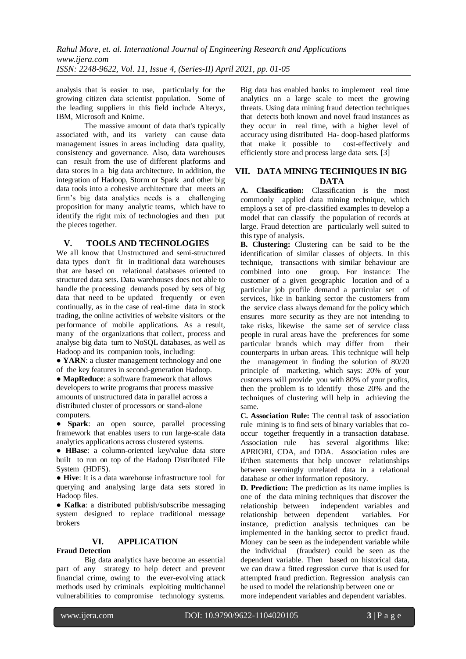analysis that is easier to use, particularly for the growing citizen data scientist population. Some of the leading suppliers in this field include Alteryx, IBM, Microsoft and Knime.

The massive amount of data that's typically associated with, and its variety can cause data management issues in areas including data quality, consistency and governance. Also, data warehouses can result from the use of different platforms and data stores in a big data architecture. In addition, the integration of Hadoop, Storm or Spark and other big data tools into a cohesive architecture that meets an firm's big data analytics needs is a challenging proposition for many analytic teams, which have to identify the right mix of technologies and then put the pieces together.

# **V. TOOLS AND TECHNOLOGIES**

We all know that Unstructured and semi-structured data types don't fit in traditional data warehouses that are based on relational databases oriented to structured data sets. Data warehouses does not able to handle the processing demands posed by sets of big data that need to be updated frequently or even continually, as in the case of real-time data in stock trading, the online activities of website visitors or the performance of mobile applications. As a result, many of the organizations that collect, process and analyse big data turn to NoSQL databases, as well as Hadoop and its companion tools, including:

• **YARN**: a cluster management technology and one of the key features in second-generation Hadoop.

● **MapReduce**: a software framework that allows developers to write programs that process massive amounts of unstructured data in parallel across a distributed cluster of processors or stand-alone computers.

● **Spark**: an open source, parallel processing framework that enables users to run large-scale data analytics applications across clustered systems.

● **HBase**: a column-oriented key/value data store built to run on top of the Hadoop Distributed File System (HDFS).

● **Hive**: It is a data warehouse infrastructure tool for querying and analysing large data sets stored in Hadoop files.

● **Kafka**: a distributed publish/subscribe messaging system designed to replace traditional message brokers

# **VI. APPLICATION**

### **Fraud Detection**

Big data analytics have become an essential part of any strategy to help detect and prevent financial crime, owing to the ever-evolving attack methods used by criminals exploiting multichannel vulnerabilities to compromise technology systems.

Big data has enabled banks to implement real time analytics on a large scale to meet the growing threats. Using data mining fraud detection techniques that detects both known and novel fraud instances as they occur in real time, with a higher level of accuracy using distributed Ha- doop-based platforms that make it possible to cost-effectively and efficiently store and process large data sets. [3]

# **VII. DATA MINING TECHNIQUES IN BIG DATA**

**A. Classification:** Classification is the most commonly applied data mining technique, which employs a set of pre-classified examples to develop a model that can classify the population of records at large. Fraud detection are particularly well suited to this type of analysis.

**B.** Clustering: Clustering can be said to be the identification of similar classes of objects. In this technique, transactions with similar behaviour are combined into one group. For instance: The customer of a given geographic location and of a particular job profile demand a particular set of services, like in banking sector the customers from the service class always demand for the policy which ensures more security as they are not intending to take risks, likewise the same set of service class people in rural areas have the preferences for some particular brands which may differ from their counterparts in urban areas. This technique will help the management in finding the solution of 80/20 principle of marketing, which says: 20% of your customers will provide you with 80% of your profits, then the problem is to identify those 20% and the techniques of clustering will help in achieving the same.

**C. Association Rule:** The central task of association rule mining is to find sets of binary variables that cooccur together frequently in a transaction database. Association rule has several algorithms like: APRIORI, CDA, and DDA. Association rules are if/then statements that help uncover relationships between seemingly unrelated data in a relational database or other information repository.

**D. Prediction:** The prediction as its name implies is one of the data mining techniques that discover the relationship between independent variables and<br>relationship between dependent variables. For relationship between dependent instance, prediction analysis techniques can be implemented in the banking sector to predict fraud. Money can be seen as the independent variable while the individual (fraudster) could be seen as the dependent variable. Then based on historical data, we can draw a fitted regression curve that is used for attempted fraud prediction. Regression analysis can be used to model the relationship between one or more independent variables and dependent variables.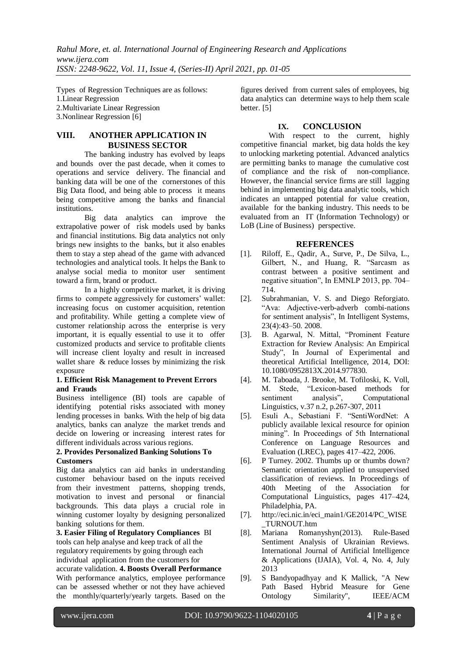Types of Regression Techniques are as follows: 1.Linear Regression 2.Multivariate Linear Regression 3.Nonlinear Regression [6]

# **VIII. ANOTHER APPLICATION IN BUSINESS SECTOR**

The banking industry has evolved by leaps and bounds over the past decade, when it comes to operations and service delivery. The financial and banking data will be one of the cornerstones of this Big Data flood, and being able to process it means being competitive among the banks and financial institutions.

Big data analytics can improve the extrapolative power of risk models used by banks and financial institutions. Big data analytics not only brings new insights to the banks, but it also enables them to stay a step ahead of the game with advanced technologies and analytical tools. It helps the Bank to analyse social media to monitor user sentiment toward a firm, brand or product.

In a highly competitive market, it is driving firms to compete aggressively for customers' wallet: increasing focus on customer acquisition, retention and profitability. While getting a complete view of customer relationship across the enterprise is very important, it is equally essential to use it to offer customized products and service to profitable clients will increase client loyalty and result in increased wallet share & reduce losses by minimizing the risk exposure

#### **1. Efficient Risk Management to Prevent Errors and Frauds**

Business intelligence (BI) tools are capable of identifying potential risks associated with money lending processes in banks. With the help of big data analytics, banks can analyze the market trends and decide on lowering or increasing interest rates for different individuals across various regions.

### **2. Provides Personalized Banking Solutions To Customers**

Big data analytics can aid banks in understanding customer behaviour based on the inputs received from their investment patterns, shopping trends, motivation to invest and personal or financial motivation to invest and personal backgrounds. This data plays a crucial role in winning customer loyalty by designing personalized banking solutions for them.

**3. Easier Filing of Regulatory Compliances** BI tools can help analyse and keep track of all the regulatory requirements by going through each individual application from the customers for accurate validation. **4. Boosts Overall Performance**  With performance analytics, employee performance can be assessed whether or not they have achieved the monthly/quarterly/yearly targets. Based on the

figures derived from current sales of employees, big data analytics can determine ways to help them scale better. [5]

# **IX. CONCLUSION**

With respect to the current, highly competitive financial market, big data holds the key to unlocking marketing potential. Advanced analytics are permitting banks to manage the cumulative cost of compliance and the risk of non-compliance. However, the financial service firms are still lagging behind in implementing big data analytic tools, which indicates an untapped potential for value creation, available for the banking industry. This needs to be evaluated from an IT (Information Technology) or LoB (Line of Business) perspective.

# **REFERENCES**

- [1]. Riloff, E., Qadir, A., Surve, P., De Silva, L., Gilbert, N., and Huang, R. "Sarcasm as contrast between a positive sentiment and negative situation", In EMNLP 2013, pp. 704– 714.
- [2]. Subrahmanian, V. S. and Diego Reforgiato. "Ava: Adjective-verb-adverb combi-nations for sentiment analysis", In Intelligent Systems, 23(4):43–50. 2008.
- [3]. B. Agarwal, N. Mittal, "Prominent Feature Extraction for Review Analysis: An Empirical Study", In Journal of Experimental and theoretical Artificial Intelligence, 2014, DOI: 10.1080/0952813X.2014.977830.
- [4]. M. Taboada, J. Brooke, M. Tofiloski, K. Voll, M. Stede, "Lexicon-based methods for sentiment analysis", Computational Linguistics, v.37 n.2, p.267-307, 2011
- [5]. Esuli A., Sebastiani F. "SentiWordNet: A publicly available lexical resource for opinion mining". In Proceedings of 5th International Conference on Language Resources and Evaluation (LREC), pages 417–422, 2006.
- [6]. P Turney. 2002. Thumbs up or thumbs down? Semantic orientation applied to unsupervised classification of reviews. In Proceedings of 40th Meeting of the Association for Computational Linguistics, pages 417–424, Philadelphia, PA.
- [7]. http://eci.nic.in/eci\_main1/GE2014/PC\_WISE \_TURNOUT.htm
- [8]. Mariana Romanyshyn(2013). Rule-Based Sentiment Analysis of Ukrainian Reviews. International Journal of Artificial Intelligence & Applications (IJAIA), Vol. 4, No. 4, July 2013
- [9]. S Bandyopadhyay and K Mallick, "A New Path Based Hybrid Measure for Gene Ontology Similarity", IEEE/ACM